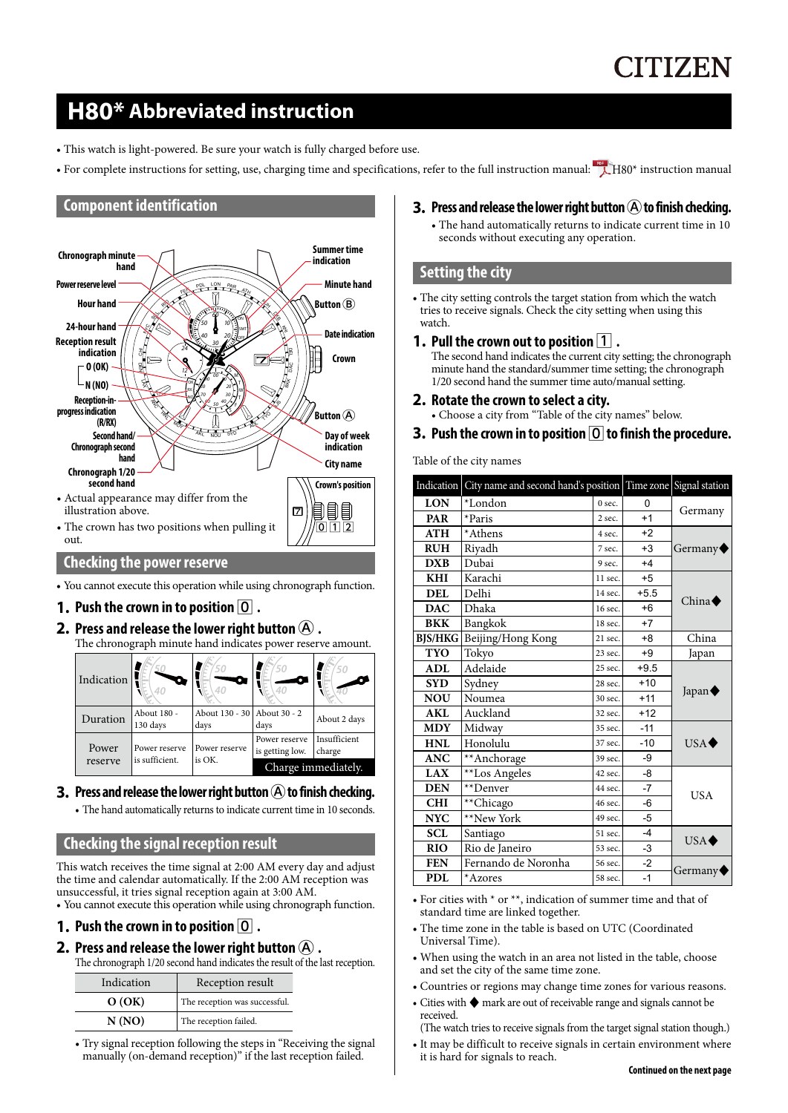# **CITIZEN**

# **H80\* Abbreviated instruction**

- This watch is light-powered. Be sure your watch is fully charged before use.
- For complete instructions for setting, use, charging time and specifications, refer to the full instruction manual:  $\overrightarrow{L}$  [H80\\* instruction manual](http://www.citizenwatch-global.com/support/pdf/h800/e.pdf)

# **Component identification**



# **Checking the power reserve**

• You cannot execute this operation while using chronograph function.

# **1. Push the crown in to position** 0 **.**

# **2.** Press and release the lower right button  $\mathbf{\widehat{A}}$  .

The chronograph minute hand indicates power reserve amount.

| Indication | 40                      | 50<br>40                              | 50<br>40                         | 50                     |
|------------|-------------------------|---------------------------------------|----------------------------------|------------------------|
| Duration   | About 180 -<br>130 days | About 130 - 30   About 30 - 2<br>days | days                             | About 2 days           |
| Power      | Power reserve           | Power reserve                         | Power reserve<br>is getting low. | Insufficient<br>charge |
| reserve    | is sufficient.          | is OK.                                | Charge immediately.              |                        |

# **3.** Press and release the lower right button  $\widehat{A}$  to finish checking.

• The hand automatically returns to indicate current time in 10 seconds.

# **Checking the signal reception result**

This watch receives the time signal at 2:00 AM every day and adjust the time and calendar automatically. If the 2:00 AM reception was unsuccessful, it tries signal reception again at 3:00 AM.

• You cannot execute this operation while using chronograph function.

# **1. Push the crown in to position** 0 **.**

### **2.** Press and release the lower right button  $\widehat{A}$  .

The chronograph 1/20 second hand indicates the result of the last reception.

| Indication | Reception result              |  |
|------------|-------------------------------|--|
| O(OK)      | The reception was successful. |  |
| N(NO)      | The reception failed.         |  |

• Try signal reception following the steps in "Receiving the signal manually (on-demand reception)" if the last reception failed.

# **3.** Press and release the lower right button  $\left(\mathbf{A}\right)$  to finish checking.

• The hand automatically returns to indicate current time in 10 seconds without executing any operation.

# **Setting the city**

- The city setting controls the target station from which the watch tries to receive signals. Check the city setting when using this watch.
- **1.** Pull the crown out to position  $\boxed{1}$ .

The second hand indicates the current city setting; the chronograph minute hand the standard/summer time setting; the chronograph 1/20 second hand the summer time auto/manual setting.

- **2. Rotate the crown to select a city.** • Choose a city from "Table of the city names" below.
- **3.** Push the crown in to position  $\boxed{0}$  to finish the procedure.

Table of the city names

| Indication | City name and second hand's position Time zone Signal station |           |        |                       |  |
|------------|---------------------------------------------------------------|-----------|--------|-----------------------|--|
| <b>LON</b> | *London                                                       | 0 sec.    | n      |                       |  |
| <b>PAR</b> | *Paris                                                        | $2$ sec.  | $+1$   | Germany               |  |
| ATH        | *Athens                                                       | 4 sec.    | $+2$   |                       |  |
| <b>RUH</b> | Rivadh                                                        | 7 sec.    | $+3$   | Germany               |  |
| <b>DXB</b> | Dubai                                                         | 9 sec.    | $+4$   |                       |  |
| <b>KHI</b> | Karachi                                                       | 11 sec.   | $+5$   |                       |  |
| <b>DEL</b> | Delhi                                                         | 14 sec.   | $+5.5$ | China $\blacklozenge$ |  |
| <b>DAC</b> | Dhaka                                                         | 16 sec.   | $+6$   |                       |  |
| <b>BKK</b> | Bangkok                                                       | 18 sec.   | $+7$   |                       |  |
|            | BJS/HKG   Beijing/Hong Kong                                   | 21 sec.   | $+8$   | China                 |  |
| <b>TYO</b> | Tokyo                                                         | $23$ sec. | $+9$   | Japan                 |  |
| <b>ADL</b> | Adelaide                                                      | 25 sec.   | $+9.5$ |                       |  |
| <b>SYD</b> | Sydney                                                        | 28 sec.   | $+10$  |                       |  |
| <b>NOU</b> | Noumea                                                        | 30 sec.   | $+11$  | Japan $\blacklozenge$ |  |
| <b>AKL</b> | Auckland                                                      | 32 sec.   | $+12$  |                       |  |
| <b>MDY</b> | Midway                                                        | 35 sec.   | $-11$  |                       |  |
| <b>HNL</b> | Honolulu                                                      | 37 sec.   | $-10$  | $USA \blacklozenge$   |  |
| <b>ANC</b> | **Anchorage                                                   | 39 sec.   | -9     |                       |  |
| <b>LAX</b> | **Los Angeles                                                 | 42 sec.   | $-8$   |                       |  |
| <b>DEN</b> | **Denver                                                      | 44 sec.   | $-7$   |                       |  |
| <b>CHI</b> | **Chicago                                                     | 46 sec.   | -6     | <b>USA</b>            |  |
| <b>NYC</b> | **New York                                                    | 49 sec.   | $-5$   |                       |  |
| <b>SCL</b> | Santiago                                                      | 51 sec.   | $-4$   |                       |  |
| <b>RIO</b> | Rio de Janeiro                                                | 53 sec.   | -3     | $USA \blacklozenge$   |  |
| <b>FEN</b> | Fernando de Noronha                                           | 56 sec.   | $-2$   |                       |  |
| <b>PDL</b> | *Azores                                                       | 58 sec.   | $-1$   | Germany <sup>®</sup>  |  |

- For cities with \* or \*\*, indication of summer time and that of standard time are linked together.
- The time zone in the table is based on UTC (Coordinated Universal Time).
- When using the watch in an area not listed in the table, choose and set the city of the same time zone.
- Countries or regions may change time zones for various reasons.
- Cities with ♦ mark are out of receivable range and signals cannot be received.

(The watch tries to receive signals from the target signal station though.)

• It may be difficult to receive signals in certain environment where it is hard for signals to reach.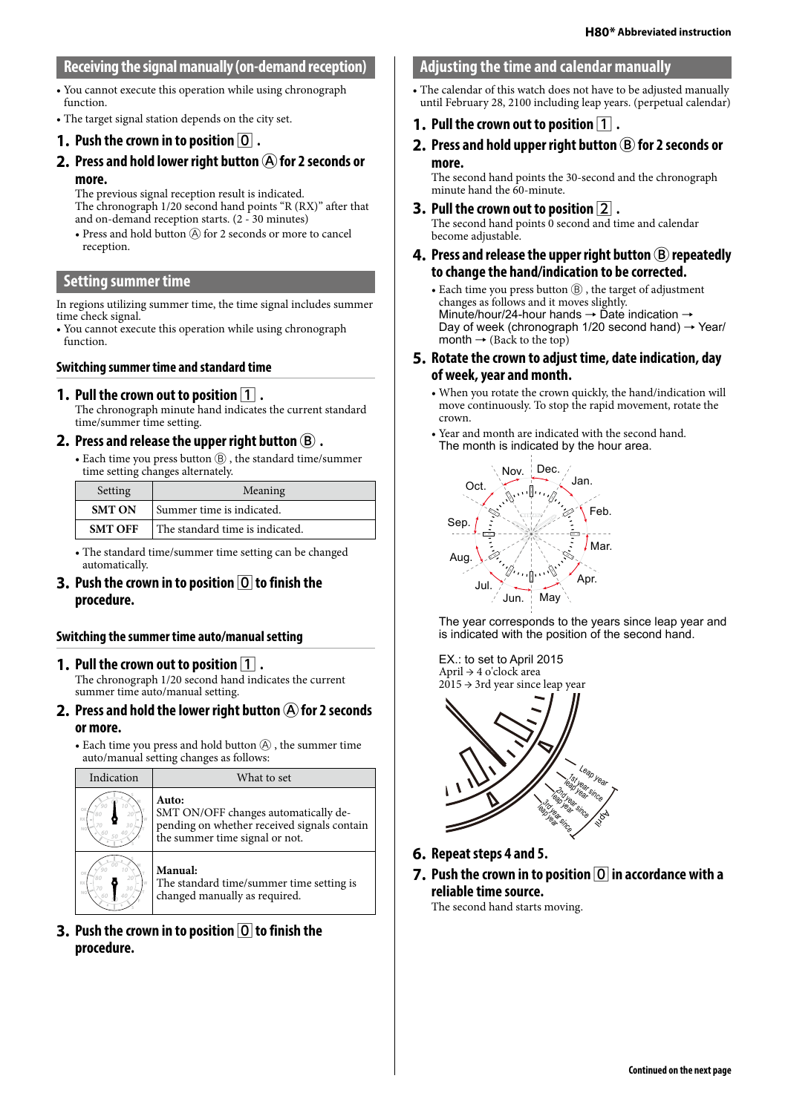# **Receiving the signal manually (on-demand reception)**

- You cannot execute this operation while using chronograph function.
- The target signal station depends on the city set.

#### **1.** Push the crown in to position  $\boxed{0}$  .

**2.** Press and hold lower right button  $\widehat{A}$  for 2 seconds or **more.**

The previous signal reception result is indicated. The chronograph 1/20 second hand points "R (RX)" after that and on-demand reception starts. (2 - 30 minutes)

• Press and hold button  $\widehat{A}$  for 2 seconds or more to cancel reception.

#### **Setting summer time**

In regions utilizing summer time, the time signal includes summer time check signal.

• You cannot execute this operation while using chronograph function.

#### **Switching summer time and standard time**

#### **1.** Pull the crown out to position  $\vert 1 \vert$ .

The chronograph minute hand indicates the current standard time/summer time setting.

#### **2.** Press and release the upper right button  $(B)$ .

• Each time you press button Ⓑ , the standard time/summer time setting changes alternately.

| Setting        | Meaning                         |  |
|----------------|---------------------------------|--|
| <b>SMT ON</b>  | Summer time is indicated.       |  |
| <b>SMT OFF</b> | The standard time is indicated. |  |

• The standard time/summer time setting can be changed automatically.

#### **3.** Push the crown in to position  $\boxed{0}$  to finish the **procedure.**

#### **Switching the summer time auto/manual setting**

#### **1.** Pull the crown out to position  $\boxed{1}$ .

The chronograph 1/20 second hand indicates the current summer time auto/manual setting.

- **2.** Press and hold the lower right button  $\overline{A}$  for 2 seconds **or more.**
	- Each time you press and hold button  $\textcircled{A}$  , the summer time auto/manual setting changes as follows:

| Indication | What to set                                                                                                                    |  |  |
|------------|--------------------------------------------------------------------------------------------------------------------------------|--|--|
|            | Auto:<br>SMT ON/OFF changes automatically de-<br>pending on whether received signals contain<br>the summer time signal or not. |  |  |
|            | Manual:<br>The standard time/summer time setting is<br>changed manually as required.                                           |  |  |

**3.** Push the crown in to position  $\overline{O}$  to finish the **procedure.**

#### **Adjusting the time and calendar manually**

- The calendar of this watch does not have to be adjusted manually until February 28, 2100 including leap years. (perpetual calendar)
- **1.** Pull the crown out to position  $\boxed{1}$ .
- **2.** Press and hold upper right button  $(B)$  for 2 seconds or **more.**

The second hand points the 30-second and the chronograph minute hand the 60-minute.

- **3.** Pull the crown out to position  $\boxed{2}$ . The second hand points 0 second and time and calendar become adjustable.
- **4.** Press and release the upper right button  $(B)$  repeatedly **to change the hand/indication to be corrected.**
	- Each time you press button  $(\widehat{B})$ , the target of adjustment changes as follows and it moves slightly. Minute/hour/24-hour hands → Date indication → Day of week (chronograph  $1/20$  second hand)  $\rightarrow$  Year/ month  $\rightarrow$  (Back to the top)
- **5. Rotate the crown to adjust time, date indication, day of week, year and month.**
	- When you rotate the crown quickly, the hand/indication will move continuously. To stop the rapid movement, rotate the crown.
	- Year and month are indicated with the second hand. The month is indicated by the hour area.



The year corresponds to the years since leap year and is indicated with the position of the second hand.

EX.: to set to April 2015 April → 4 o'clock area  $2015 \rightarrow 3$ rd year since leap year



- **6. Repeat steps 4 and 5.**
- **7.** Push the crown in to position  $\overline{O}$  in accordance with a **reliable time source.**

The second hand starts moving.